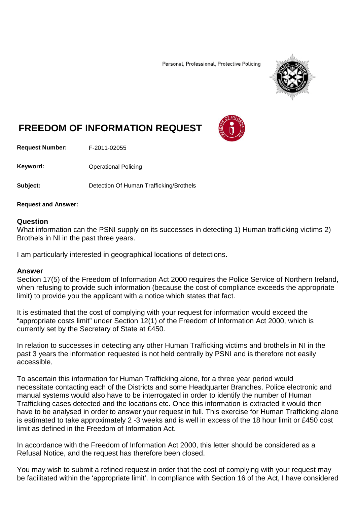Personal, Professional, Protective Policing



## **FREEDOM OF INFORMATION REQUEST**

**Request Number:** F-2011-02055

**Keyword:** Operational Policing

**Subject:** Detection Of Human Trafficking/Brothels

**Request and Answer:**

## **Question**

What information can the PSNI supply on its successes in detecting 1) Human trafficking victims 2) Brothels in NI in the past three years.

I am particularly interested in geographical locations of detections.

## **Answer**

Section 17(5) of the Freedom of Information Act 2000 requires the Police Service of Northern Ireland, when refusing to provide such information (because the cost of compliance exceeds the appropriate limit) to provide you the applicant with a notice which states that fact.

It is estimated that the cost of complying with your request for information would exceed the "appropriate costs limit" under Section 12(1) of the Freedom of Information Act 2000, which is currently set by the Secretary of State at £450.

In relation to successes in detecting any other Human Trafficking victims and brothels in NI in the past 3 years the information requested is not held centrally by PSNI and is therefore not easily accessible.

To ascertain this information for Human Trafficking alone, for a three year period would necessitate contacting each of the Districts and some Headquarter Branches. Police electronic and manual systems would also have to be interrogated in order to identify the number of Human Trafficking cases detected and the locations etc. Once this information is extracted it would then have to be analysed in order to answer your request in full. This exercise for Human Trafficking alone is estimated to take approximately 2 -3 weeks and is well in excess of the 18 hour limit or £450 cost limit as defined in the Freedom of Information Act.

In accordance with the Freedom of Information Act 2000, this letter should be considered as a Refusal Notice, and the request has therefore been closed.

You may wish to submit a refined request in order that the cost of complying with your request may be facilitated within the 'appropriate limit'. In compliance with Section 16 of the Act, I have considered